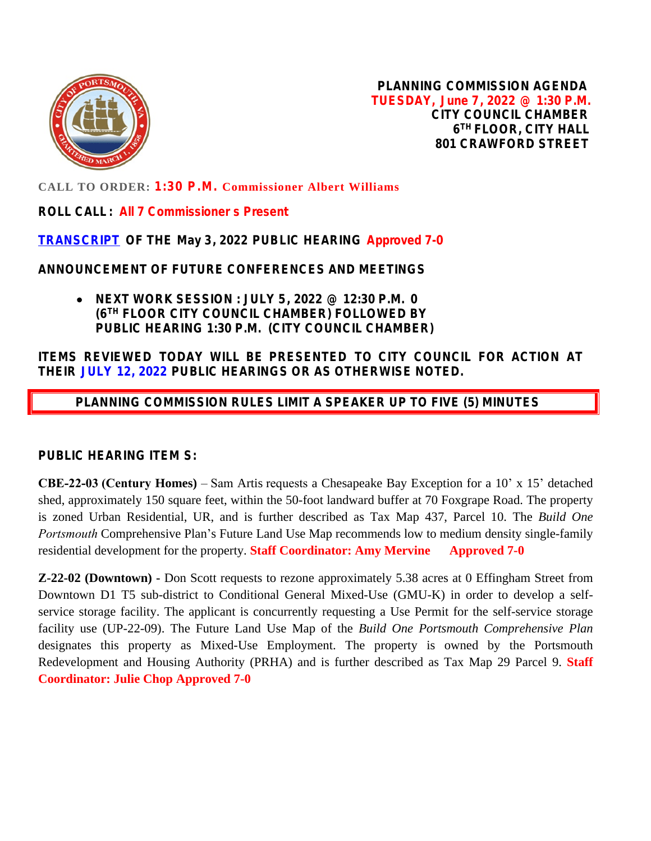

**PLANNING COMMISSION AGENDA TUESDAY, June 7, 2022 @ 1:30 P.M. CITY COUNCIL CHAMBER 6 TH FLOOR, CITY HALL 801 CRAWFORD STREET**

**CALL TO ORDER: 1:30 P.M. Commissioner Albert Williams**

**ROLL CALL : All 7 Commissioner s Present**

**[TRANSCRIPT](https://www.portsmouthva.gov/DocumentCenter/View/11992/Transcrip020122) OF THE May 3, 2022 PUBLIC HEARING Approved 7-0**

**ANNOUNCEMENT OF FUTURE CONFERENCES AND MEETINGS**

 **NEXT WORK SESSION : JULY 5, 2022 @ 12:30 P.M. 0 (6TH FLOOR CITY COUNCIL CHAMBER) FOLLOWED BY PUBLIC HEARING 1:30 P.M. (CITY COUNCIL CHAMBER)**

**ITEMS REVIEWED TODAY WILL BE PRESENTED TO CITY COUNCIL FOR ACTION AT THEIR JULY 12, 2022 PUBLIC HEARINGS OR AS OTHERWISE NOTED.**

 **PLANNING COMMISSION RULES LIMIT A SPEAKER UP TO FIVE (5) MINUTES**

## **PUBLIC HEARING ITEM S:**

**CBE-22-03 (Century Homes)** – Sam Artis requests a Chesapeake Bay Exception for a 10' x 15' detached shed, approximately 150 square feet, within the 50-foot landward buffer at 70 Foxgrape Road. The property is zoned Urban Residential, UR, and is further described as Tax Map 437, Parcel 10. The *Build One Portsmouth* Comprehensive Plan's Future Land Use Map recommends low to medium density single-family residential development for the property. **Staff Coordinator: Amy Mervine Approved 7-0**

**Z-22-02 (Downtown) -** Don Scott requests to rezone approximately 5.38 acres at 0 Effingham Street from Downtown D1 T5 sub-district to Conditional General Mixed-Use (GMU-K) in order to develop a selfservice storage facility. The applicant is concurrently requesting a Use Permit for the self-service storage facility use (UP-22-09). The Future Land Use Map of the *Build One Portsmouth Comprehensive Plan* designates this property as Mixed-Use Employment. The property is owned by the Portsmouth Redevelopment and Housing Authority (PRHA) and is further described as Tax Map 29 Parcel 9. **Staff Coordinator: Julie Chop Approved 7-0**